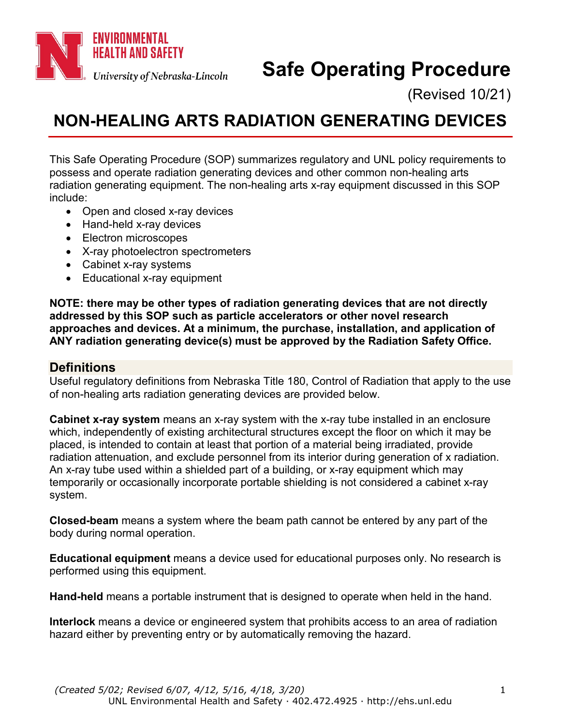

# **Safe Operating Procedure**

(Revised 10/21)

# <span id="page-0-0"></span>**NON-HEALING ARTS RADIATION GENERATING DEVICES**

This Safe Operating Procedure (SOP) summarizes regulatory and UNL policy requirements to possess and operate radiation generating devices and other common non-healing arts radiation generating equipment. The non-healing arts x-ray equipment discussed in this SOP include:

- Open and closed x-ray devices
- Hand-held x-ray devices
- Electron microscopes
- X-ray photoelectron spectrometers
- Cabinet x-ray systems
- Educational x-ray equipment

**NOTE: there may be other types of radiation generating devices that are not directly addressed by this SOP such as particle accelerators or other novel research approaches and devices. At a minimum, the purchase, installation, and application of ANY radiation generating device(s) must be approved by the Radiation Safety Office.**

#### **Definitions**

Useful regulatory definitions from Nebraska Title 180, Control of Radiation that apply to the use of non-healing arts radiation generating devices are provided below.

**Cabinet x-ray system** means an x-ray system with the x-ray tube installed in an enclosure which, independently of existing architectural structures except the floor on which it may be placed, is intended to contain at least that portion of a material being irradiated, provide radiation attenuation, and exclude personnel from its interior during generation of x radiation. An x-ray tube used within a shielded part of a building, or x-ray equipment which may temporarily or occasionally incorporate portable shielding is not considered a cabinet x-ray system.

**Closed-beam** means a system where the beam path cannot be entered by any part of the body during normal operation.

**Educational equipment** means a device used for educational purposes only. No research is performed using this equipment.

**Hand-held** means a portable instrument that is designed to operate when held in the hand.

**Interlock** means a device or engineered system that prohibits access to an area of radiation hazard either by preventing entry or by automatically removing the hazard.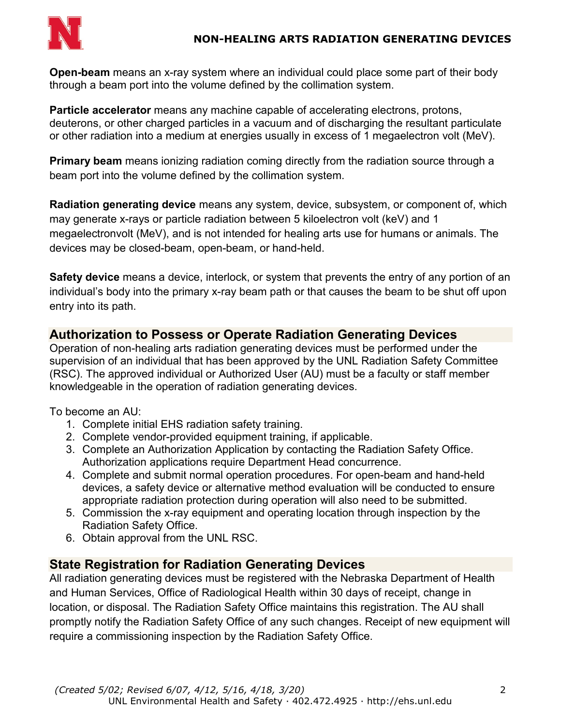

**Open-beam** means an x-ray system where an individual could place some part of their body through a beam port into the volume defined by the collimation system.

**Particle accelerator** means any machine capable of accelerating electrons, protons, deuterons, or other charged particles in a vacuum and of discharging the resultant particulate or other radiation into a medium at energies usually in excess of 1 megaelectron volt (MeV).

**Primary beam** means ionizing radiation coming directly from the radiation source through a beam port into the volume defined by the collimation system.

**Radiation generating device** means any system, device, subsystem, or component of, which may generate x-rays or particle radiation between 5 kiloelectron volt (keV) and 1 megaelectronvolt (MeV), and is not intended for healing arts use for humans or animals. The devices may be closed-beam, open-beam, or hand-held.

**Safety device** means a device, interlock, or system that prevents the entry of any portion of an individual's body into the primary x-ray beam path or that causes the beam to be shut off upon entry into its path.

## **Authorization to Possess or Operate Radiation Generating Devices**

Operation of non-healing arts radiation generating devices must be performed under the supervision of an individual that has been approved by the UNL Radiation Safety Committee (RSC). The approved individual or Authorized User (AU) must be a faculty or staff member knowledgeable in the operation of radiation generating devices.

To become an AU:

- 1. Complete initial EHS radiation safety training.
- 2. Complete vendor-provided equipment training, if applicable.
- 3. Complete an Authorization Application by contacting the Radiation Safety Office. Authorization applications require Department Head concurrence.
- 4. Complete and submit normal operation procedures. For open-beam and hand-held devices, a safety device or alternative method evaluation will be conducted to ensure appropriate radiation protection during operation will also need to be submitted.
- 5. Commission the x-ray equipment and operating location through inspection by the Radiation Safety Office.
- 6. Obtain approval from the UNL RSC.

### **State Registration for Radiation Generating Devices**

All radiation generating devices must be registered with the Nebraska Department of Health and Human Services, Office of Radiological Health within 30 days of receipt, change in location, or disposal. The Radiation Safety Office maintains this registration. The AU shall promptly notify the Radiation Safety Office of any such changes. Receipt of new equipment will require a commissioning inspection by the Radiation Safety Office.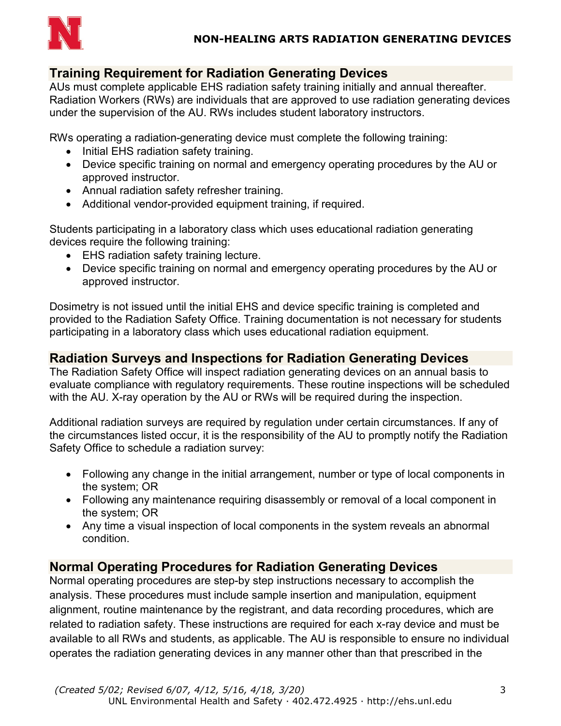

#### **Training Requirement for Radiation Generating Devices**

AUs must complete applicable EHS radiation safety training initially and annual thereafter. Radiation Workers (RWs) are individuals that are approved to use radiation generating devices under the supervision of the AU. RWs includes student laboratory instructors.

RWs operating a radiation-generating device must complete the following training:

- Initial EHS radiation safety training.
- Device specific training on normal and emergency operating procedures by the AU or approved instructor.
- Annual radiation safety refresher training.
- Additional vendor-provided equipment training, if required.

Students participating in a laboratory class which uses educational radiation generating devices require the following training:

- EHS radiation safety training lecture.
- Device specific training on normal and emergency operating procedures by the AU or approved instructor.

Dosimetry is not issued until the initial EHS and device specific training is completed and provided to the Radiation Safety Office. Training documentation is not necessary for students participating in a laboratory class which uses educational radiation equipment.

#### **Radiation Surveys and Inspections for Radiation Generating Devices**

The Radiation Safety Office will inspect radiation generating devices on an annual basis to evaluate compliance with regulatory requirements. These routine inspections will be scheduled with the AU. X-ray operation by the AU or RWs will be required during the inspection.

Additional radiation surveys are required by regulation under certain circumstances. If any of the circumstances listed occur, it is the responsibility of the AU to promptly notify the Radiation Safety Office to schedule a radiation survey:

- Following any change in the initial arrangement, number or type of local components in the system; OR
- Following any maintenance requiring disassembly or removal of a local component in the system; OR
- Any time a visual inspection of local components in the system reveals an abnormal condition.

### **Normal Operating Procedures for Radiation Generating Devices**

Normal operating procedures are step-by step instructions necessary to accomplish the analysis. These procedures must include sample insertion and manipulation, equipment alignment, routine maintenance by the registrant, and data recording procedures, which are related to radiation safety. These instructions are required for each x-ray device and must be available to all RWs and students, as applicable. The AU is responsible to ensure no individual operates the radiation generating devices in any manner other than that prescribed in the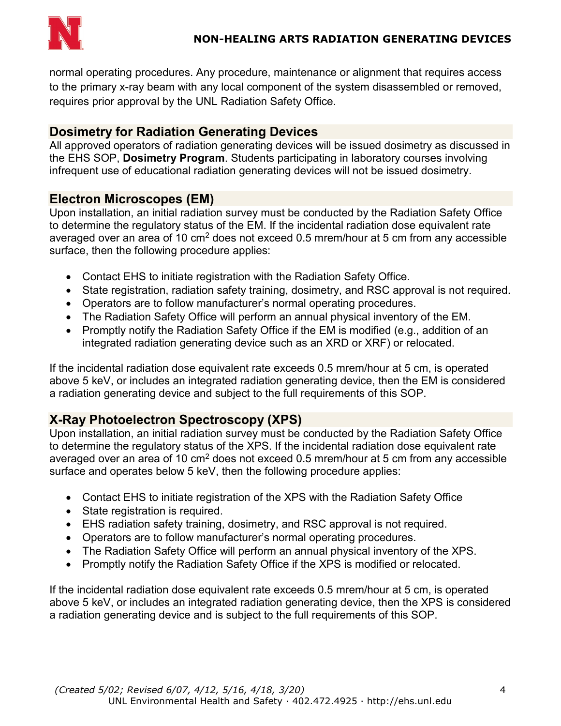

normal operating procedures. Any procedure, maintenance or alignment that requires access to the primary x-ray beam with any local component of the system disassembled or removed, requires prior approval by the UNL Radiation Safety Office.

#### **Dosimetry for Radiation Generating Devices**

All approved operators of radiation generating devices will be issued dosimetry as discussed in the EHS SOP, **Dosimetry Program**. Students participating in laboratory courses involving infrequent use of educational radiation generating devices will not be issued dosimetry.

#### **Electron Microscopes (EM)**

Upon installation, an initial radiation survey must be conducted by the Radiation Safety Office to determine the regulatory status of the EM. If the incidental radiation dose equivalent rate averaged over an area of 10  $\text{cm}^2$  does not exceed 0.5 mrem/hour at 5 cm from any accessible surface, then the following procedure applies:

- Contact EHS to initiate registration with the Radiation Safety Office.
- State registration, radiation safety training, dosimetry, and RSC approval is not required.
- Operators are to follow manufacturer's normal operating procedures.
- The Radiation Safety Office will perform an annual physical inventory of the EM.
- Promptly notify the Radiation Safety Office if the EM is modified (e.g., addition of an integrated radiation generating device such as an XRD or XRF) or relocated.

If the incidental radiation dose equivalent rate exceeds 0.5 mrem/hour at 5 cm, is operated above 5 keV, or includes an integrated radiation generating device, then the EM is considered a radiation generating device and subject to the full requirements of this SOP.

### **X-Ray Photoelectron Spectroscopy (XPS)**

Upon installation, an initial radiation survey must be conducted by the Radiation Safety Office to determine the regulatory status of the XPS. If the incidental radiation dose equivalent rate averaged over an area of 10  $\text{cm}^2$  does not exceed 0.5 mrem/hour at 5 cm from any accessible surface and operates below 5 keV, then the following procedure applies:

- Contact EHS to initiate registration of the XPS with the Radiation Safety Office
- State registration is required.
- EHS radiation safety training, dosimetry, and RSC approval is not required.
- Operators are to follow manufacturer's normal operating procedures.
- The Radiation Safety Office will perform an annual physical inventory of the XPS.
- Promptly notify the Radiation Safety Office if the XPS is modified or relocated.

If the incidental radiation dose equivalent rate exceeds 0.5 mrem/hour at 5 cm, is operated above 5 keV, or includes an integrated radiation generating device, then the XPS is considered a radiation generating device and is subject to the full requirements of this SOP.